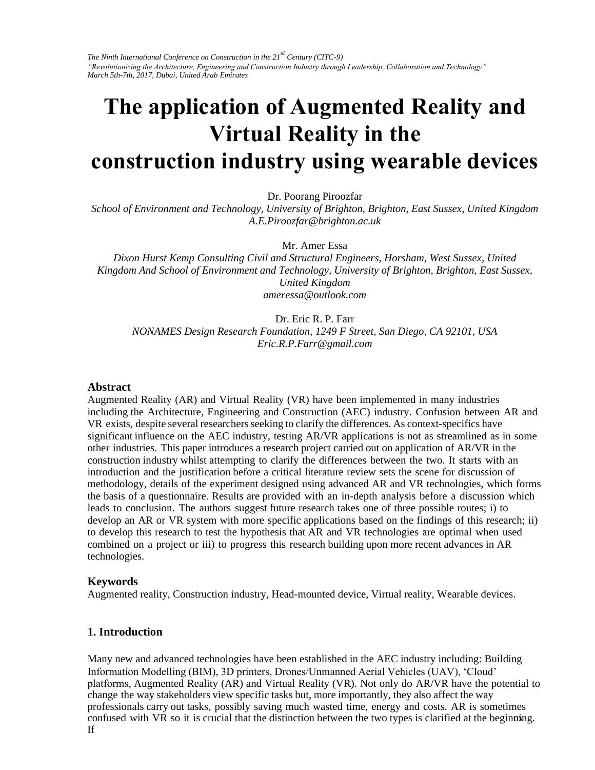*The Ninth International Conference on Construction in the 21st Century (CITC-9) "Revolutionizing the Architecture, Engineering and Construction Industry through Leadership, Collaboration and Technology" March 5th-7th, 2017, Dubai, United Arab Emirates* 

# **The application of Augmented Reality and Virtual Reality in the construction industry using wearable devices**

Dr. Poorang Piroozfar

*School of Environment and Technology, University of Brighton, Brighton, East Sussex, United Kingdom A.E.Piroozfar@brighton.ac.uk* 

Mr. Amer Essa

*Dixon Hurst Kemp Consulting Civil and Structural Engineers, Horsham, West Sussex, United Kingdom And School of Environment and Technology, University of Brighton, Brighton, East Sussex, United Kingdom ameressa@outlook.com* 

Dr. Eric R. P. Farr *NONAMES Design Research Foundation, 1249 F Street, San Diego, CA 92101, USA Eric.R.P.Farr@gmail.com* 

#### **Abstract**

Augmented Reality (AR) and Virtual Reality (VR) have been implemented in many industries including the Architecture, Engineering and Construction (AEC) industry. Confusion between AR and VR exists, despite several researchers seeking to clarify the differences. As context-specifics have significant influence on the AEC industry, testing AR/VR applications is not as streamlined as in some other industries. This paper introduces a research project carried out on application of AR/VR in the construction industry whilst attempting to clarify the differences between the two. It starts with an introduction and the justification before a critical literature review sets the scene for discussion of methodology, details of the experiment designed using advanced AR and VR technologies, which forms the basis of a questionnaire. Results are provided with an in-depth analysis before a discussion which leads to conclusion. The authors suggest future research takes one of three possible routes; i) to develop an AR or VR system with more specific applications based on the findings of this research; ii) to develop this research to test the hypothesis that AR and VR technologies are optimal when used combined on a project or iii) to progress this research building upon more recent advances in AR technologies.

#### **Keywords**

Augmented reality, Construction industry, Head-mounted device, Virtual reality, Wearable devices.

#### **1. Introduction**

confused with VR so it is crucial that the distinction between the two types is clarified at the beginning. Many new and advanced technologies have been established in the AEC industry including: Building Information Modelling (BIM), 3D printers, Drones/Unmanned Aerial Vehicles (UAV), 'Cloud' platforms, Augmented Reality (AR) and Virtual Reality (VR). Not only do AR/VR have the potential to change the way stakeholders view specific tasks but, more importantly, they also affect the way professionals carry out tasks, possibly saving much wasted time, energy and costs. AR is sometimes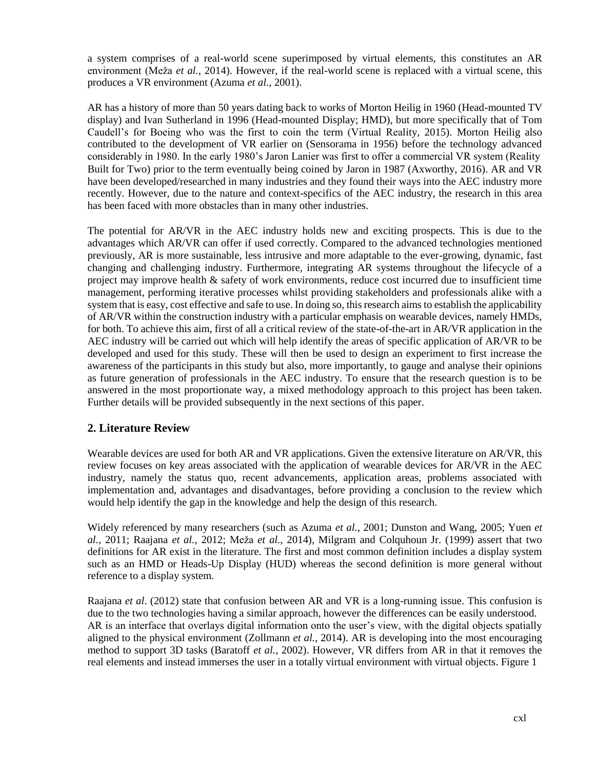a system comprises of a real-world scene superimposed by virtual elements, this constitutes an AR environment (Meža *et al.*, 2014). However, if the real-world scene is replaced with a virtual scene, this produces a VR environment (Azuma *et al.*, 2001).

AR has a history of more than 50 years dating back to works of Morton Heilig in 1960 (Head-mounted TV display) and Ivan Sutherland in 1996 (Head-mounted Display; HMD), but more specifically that of Tom Caudell's for Boeing who was the first to coin the term (Virtual Reality, 2015). Morton Heilig also contributed to the development of VR earlier on (Sensorama in 1956) before the technology advanced considerably in 1980. In the early 1980's Jaron Lanier was first to offer a commercial VR system (Reality Built for Two) prior to the term eventually being coined by Jaron in 1987 (Axworthy, 2016). AR and VR have been developed/researched in many industries and they found their ways into the AEC industry more recently. However, due to the nature and context-specifics of the AEC industry, the research in this area has been faced with more obstacles than in many other industries.

The potential for AR/VR in the AEC industry holds new and exciting prospects. This is due to the advantages which AR/VR can offer if used correctly. Compared to the advanced technologies mentioned previously, AR is more sustainable, less intrusive and more adaptable to the ever-growing, dynamic, fast changing and challenging industry. Furthermore, integrating AR systems throughout the lifecycle of a project may improve health & safety of work environments, reduce cost incurred due to insufficient time management, performing iterative processes whilst providing stakeholders and professionals alike with a system that is easy, cost effective and safe to use. In doing so, this research aims to establish the applicability of AR/VR within the construction industry with a particular emphasis on wearable devices, namely HMDs, for both. To achieve this aim, first of all a critical review of the state-of-the-art in AR/VR application in the AEC industry will be carried out which will help identify the areas of specific application of AR/VR to be developed and used for this study. These will then be used to design an experiment to first increase the awareness of the participants in this study but also, more importantly, to gauge and analyse their opinions as future generation of professionals in the AEC industry. To ensure that the research question is to be answered in the most proportionate way, a mixed methodology approach to this project has been taken. Further details will be provided subsequently in the next sections of this paper.

# **2. Literature Review**

Wearable devices are used for both AR and VR applications. Given the extensive literature on AR/VR, this review focuses on key areas associated with the application of wearable devices for AR/VR in the AEC industry, namely the status quo, recent advancements, application areas, problems associated with implementation and, advantages and disadvantages, before providing a conclusion to the review which would help identify the gap in the knowledge and help the design of this research.

Widely referenced by many researchers (such as Azuma *et al.*, 2001; Dunston and Wang, 2005; Yuen *et al.*, 2011; Raajana *et al.*, 2012; Meža *et al.*, 2014), Milgram and Colquhoun Jr. (1999) assert that two definitions for AR exist in the literature. The first and most common definition includes a display system such as an HMD or Heads-Up Display (HUD) whereas the second definition is more general without reference to a display system.

Raajana *et al*. (2012) state that confusion between AR and VR is a long-running issue. This confusion is due to the two technologies having a similar approach, however the differences can be easily understood. AR is an interface that overlays digital information onto the user's view, with the digital objects spatially aligned to the physical environment (Zollmann *et al.*, 2014). AR is developing into the most encouraging method to support 3D tasks (Baratoff *et al.*, 2002). However, VR differs from AR in that it removes the real elements and instead immerses the user in a totally virtual environment with virtual objects. Figure 1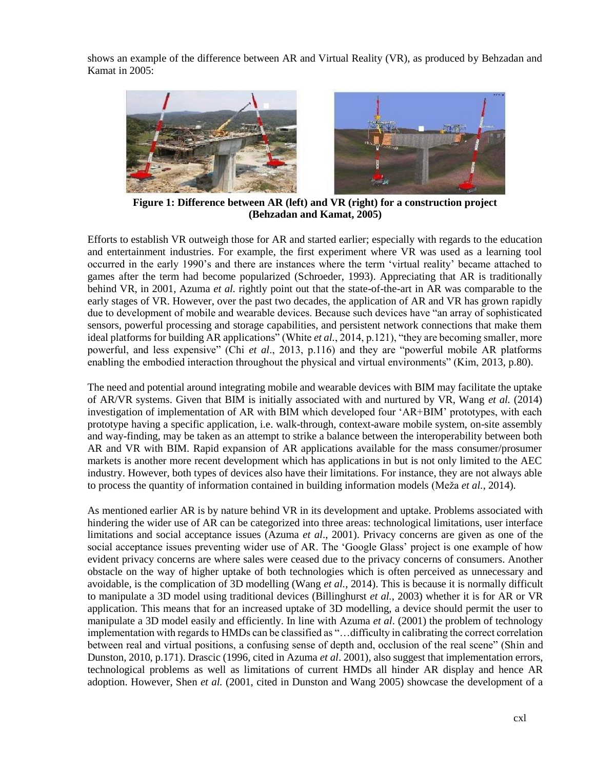shows an example of the difference between AR and Virtual Reality (VR), as produced by Behzadan and Kamat in 2005:



**Figure 1: Difference between AR (left) and VR (right) for a construction project (Behzadan and Kamat, 2005)**

Efforts to establish VR outweigh those for AR and started earlier; especially with regards to the education and entertainment industries. For example, the first experiment where VR was used as a learning tool occurred in the early 1990's and there are instances where the term 'virtual reality' became attached to games after the term had become popularized (Schroeder, 1993). Appreciating that AR is traditionally behind VR, in 2001, Azuma *et al.* rightly point out that the state-of-the-art in AR was comparable to the early stages of VR. However, over the past two decades, the application of AR and VR has grown rapidly due to development of mobile and wearable devices. Because such devices have "an array of sophisticated sensors, powerful processing and storage capabilities, and persistent network connections that make them ideal platforms for building AR applications" (White *et al.*, 2014, p.121), "they are becoming smaller, more powerful, and less expensive" (Chi *et al*., 2013, p.116) and they are "powerful mobile AR platforms enabling the embodied interaction throughout the physical and virtual environments" (Kim, 2013, p.80).

The need and potential around integrating mobile and wearable devices with BIM may facilitate the uptake of AR/VR systems. Given that BIM is initially associated with and nurtured by VR, Wang *et al.* (2014) investigation of implementation of AR with BIM which developed four 'AR+BIM' prototypes, with each prototype having a specific application, i.e. walk-through, context-aware mobile system, on-site assembly and way-finding, may be taken as an attempt to strike a balance between the interoperability between both AR and VR with BIM. Rapid expansion of AR applications available for the mass consumer/prosumer markets is another more recent development which has applications in but is not only limited to the AEC industry. However, both types of devices also have their limitations. For instance, they are not always able to process the quantity of information contained in building information models (Meža *et al.*, 2014).

As mentioned earlier AR is by nature behind VR in its development and uptake. Problems associated with hindering the wider use of AR can be categorized into three areas: technological limitations, user interface limitations and social acceptance issues (Azuma *et al*., 2001). Privacy concerns are given as one of the social acceptance issues preventing wider use of AR. The 'Google Glass' project is one example of how evident privacy concerns are where sales were ceased due to the privacy concerns of consumers. Another obstacle on the way of higher uptake of both technologies which is often perceived as unnecessary and avoidable, is the complication of 3D modelling (Wang *et al.*, 2014). This is because it is normally difficult to manipulate a 3D model using traditional devices (Billinghurst *et al.*, 2003) whether it is for AR or VR application. This means that for an increased uptake of 3D modelling, a device should permit the user to manipulate a 3D model easily and efficiently. In line with Azuma *et al*. (2001) the problem of technology implementation with regards to HMDs can be classified as "…difficulty in calibrating the correct correlation between real and virtual positions, a confusing sense of depth and, occlusion of the real scene" (Shin and Dunston, 2010, p.171). Drascic (1996, cited in Azuma *et al*. 2001), also suggest that implementation errors, technological problems as well as limitations of current HMDs all hinder AR display and hence AR adoption. However, Shen *et al.* (2001, cited in Dunston and Wang 2005) showcase the development of a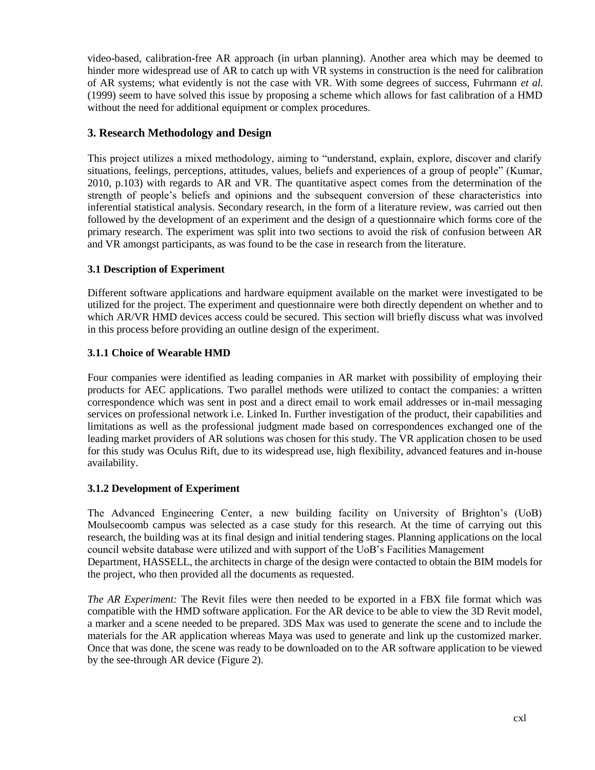video-based, calibration-free AR approach (in urban planning). Another area which may be deemed to hinder more widespread use of AR to catch up with VR systems in construction is the need for calibration of AR systems; what evidently is not the case with VR. With some degrees of success, Fuhrmann *et al.* (1999) seem to have solved this issue by proposing a scheme which allows for fast calibration of a HMD without the need for additional equipment or complex procedures.

## **3. Research Methodology and Design**

This project utilizes a mixed methodology, aiming to "understand, explain, explore, discover and clarify situations, feelings, perceptions, attitudes, values, beliefs and experiences of a group of people" (Kumar, 2010, p.103) with regards to AR and VR. The quantitative aspect comes from the determination of the strength of people's beliefs and opinions and the subsequent conversion of these characteristics into inferential statistical analysis. Secondary research, in the form of a literature review, was carried out then followed by the development of an experiment and the design of a questionnaire which forms core of the primary research. The experiment was split into two sections to avoid the risk of confusion between AR and VR amongst participants, as was found to be the case in research from the literature.

## **3.1 Description of Experiment**

Different software applications and hardware equipment available on the market were investigated to be utilized for the project. The experiment and questionnaire were both directly dependent on whether and to which AR/VR HMD devices access could be secured. This section will briefly discuss what was involved in this process before providing an outline design of the experiment.

## **3.1.1 Choice of Wearable HMD**

Four companies were identified as leading companies in AR market with possibility of employing their products for AEC applications. Two parallel methods were utilized to contact the companies: a written correspondence which was sent in post and a direct email to work email addresses or in-mail messaging services on professional network i.e. Linked In. Further investigation of the product, their capabilities and limitations as well as the professional judgment made based on correspondences exchanged one of the leading market providers of AR solutions was chosen for this study. The VR application chosen to be used for this study was Oculus Rift, due to its widespread use, high flexibility, advanced features and in-house availability.

### **3.1.2 Development of Experiment**

The Advanced Engineering Center, a new building facility on University of Brighton's (UoB) Moulsecoomb campus was selected as a case study for this research. At the time of carrying out this research, the building was at its final design and initial tendering stages. Planning applications on the local council website database were utilized and with support of the UoB's Facilities Management Department, HASSELL, the architects in charge of the design were contacted to obtain the BIM models for the project, who then provided all the documents as requested.

*The AR Experiment:* The Revit files were then needed to be exported in a FBX file format which was compatible with the HMD software application. For the AR device to be able to view the 3D Revit model, a marker and a scene needed to be prepared. 3DS Max was used to generate the scene and to include the materials for the AR application whereas Maya was used to generate and link up the customized marker. Once that was done, the scene was ready to be downloaded on to the AR software application to be viewed by the see-through AR device (Figure 2).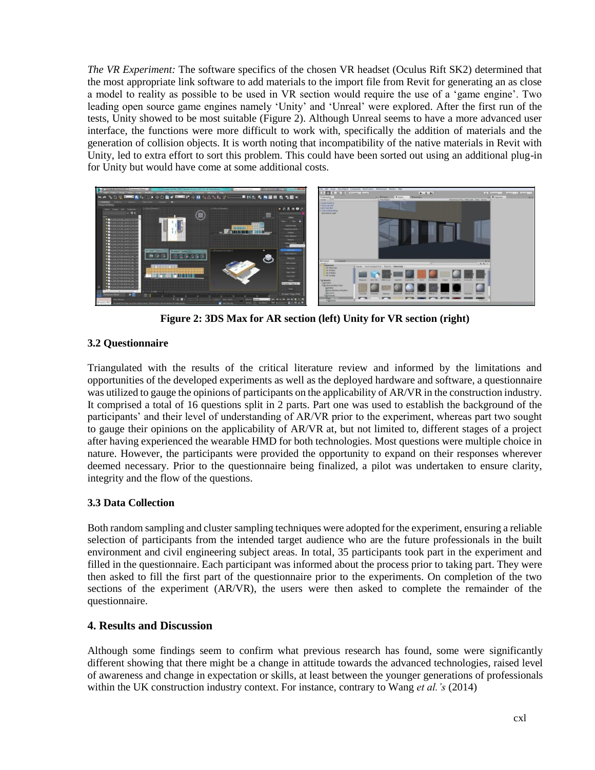*The VR Experiment:* The software specifics of the chosen VR headset (Oculus Rift SK2) determined that the most appropriate link software to add materials to the import file from Revit for generating an as close a model to reality as possible to be used in VR section would require the use of a 'game engine'. Two leading open source game engines namely 'Unity' and 'Unreal' were explored. After the first run of the tests, Unity showed to be most suitable (Figure 2). Although Unreal seems to have a more advanced user interface, the functions were more difficult to work with, specifically the addition of materials and the generation of collision objects. It is worth noting that incompatibility of the native materials in Revit with Unity, led to extra effort to sort this problem. This could have been sorted out using an additional plug-in for Unity but would have come at some additional costs.



**Figure 2: 3DS Max for AR section (left) Unity for VR section (right)**

## **3.2 Questionnaire**

Triangulated with the results of the critical literature review and informed by the limitations and opportunities of the developed experiments as well as the deployed hardware and software, a questionnaire was utilized to gauge the opinions of participants on the applicability of AR/VR in the construction industry. It comprised a total of 16 questions split in 2 parts. Part one was used to establish the background of the participants' and their level of understanding of AR/VR prior to the experiment, whereas part two sought to gauge their opinions on the applicability of AR/VR at, but not limited to, different stages of a project after having experienced the wearable HMD for both technologies. Most questions were multiple choice in nature. However, the participants were provided the opportunity to expand on their responses wherever deemed necessary. Prior to the questionnaire being finalized, a pilot was undertaken to ensure clarity, integrity and the flow of the questions.

## **3.3 Data Collection**

Both random sampling and cluster sampling techniques were adopted for the experiment, ensuring a reliable selection of participants from the intended target audience who are the future professionals in the built environment and civil engineering subject areas. In total, 35 participants took part in the experiment and filled in the questionnaire. Each participant was informed about the process prior to taking part. They were then asked to fill the first part of the questionnaire prior to the experiments. On completion of the two sections of the experiment (AR/VR), the users were then asked to complete the remainder of the questionnaire.

# **4. Results and Discussion**

Although some findings seem to confirm what previous research has found, some were significantly different showing that there might be a change in attitude towards the advanced technologies, raised level of awareness and change in expectation or skills, at least between the younger generations of professionals within the UK construction industry context. For instance, contrary to Wang *et al.'s* (2014)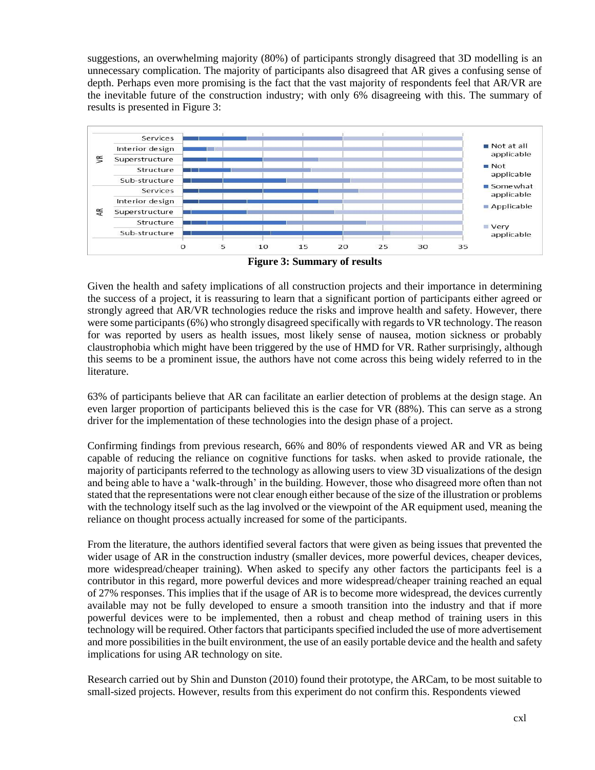suggestions, an overwhelming majority (80%) of participants strongly disagreed that 3D modelling is an unnecessary complication. The majority of participants also disagreed that AR gives a confusing sense of depth. Perhaps even more promising is the fact that the vast majority of respondents feel that AR/VR are the inevitable future of the construction industry; with only 6% disagreeing with this. The summary of results is presented in Figure 3:



**Figure 3: Summary of results**

Given the health and safety implications of all construction projects and their importance in determining the success of a project, it is reassuring to learn that a significant portion of participants either agreed or strongly agreed that AR/VR technologies reduce the risks and improve health and safety. However, there were some participants (6%) who strongly disagreed specifically with regards to VR technology. The reason for was reported by users as health issues, most likely sense of nausea, motion sickness or probably claustrophobia which might have been triggered by the use of HMD for VR. Rather surprisingly, although this seems to be a prominent issue, the authors have not come across this being widely referred to in the literature.

63% of participants believe that AR can facilitate an earlier detection of problems at the design stage. An even larger proportion of participants believed this is the case for VR (88%). This can serve as a strong driver for the implementation of these technologies into the design phase of a project.

Confirming findings from previous research, 66% and 80% of respondents viewed AR and VR as being capable of reducing the reliance on cognitive functions for tasks. when asked to provide rationale, the majority of participants referred to the technology as allowing users to view 3D visualizations of the design and being able to have a 'walk-through' in the building. However, those who disagreed more often than not stated that the representations were not clear enough either because of the size of the illustration or problems with the technology itself such as the lag involved or the viewpoint of the AR equipment used, meaning the reliance on thought process actually increased for some of the participants.

From the literature, the authors identified several factors that were given as being issues that prevented the wider usage of AR in the construction industry (smaller devices, more powerful devices, cheaper devices, more widespread/cheaper training). When asked to specify any other factors the participants feel is a contributor in this regard, more powerful devices and more widespread/cheaper training reached an equal of 27% responses. This implies that if the usage of AR is to become more widespread, the devices currently available may not be fully developed to ensure a smooth transition into the industry and that if more powerful devices were to be implemented, then a robust and cheap method of training users in this technology will be required. Other factors that participants specified included the use of more advertisement and more possibilities in the built environment, the use of an easily portable device and the health and safety implications for using AR technology on site.

Research carried out by Shin and Dunston (2010) found their prototype, the ARCam, to be most suitable to small-sized projects. However, results from this experiment do not confirm this. Respondents viewed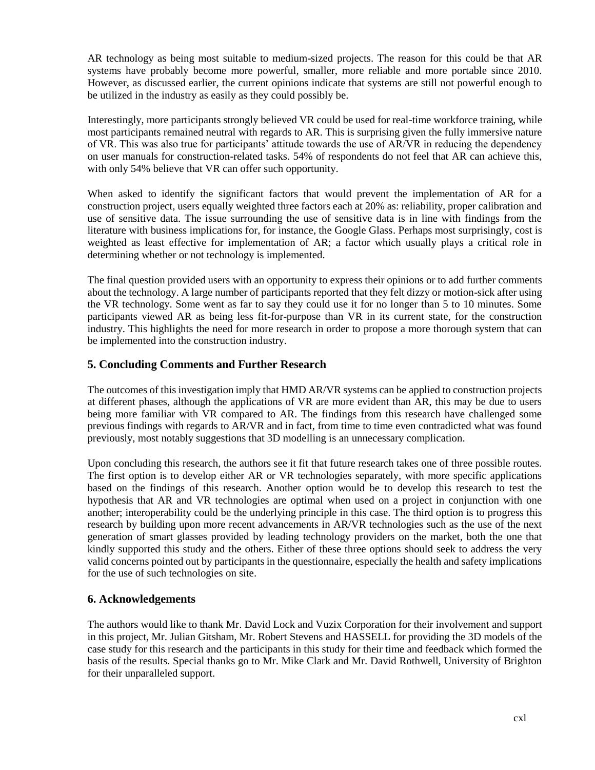AR technology as being most suitable to medium-sized projects. The reason for this could be that AR systems have probably become more powerful, smaller, more reliable and more portable since 2010. However, as discussed earlier, the current opinions indicate that systems are still not powerful enough to be utilized in the industry as easily as they could possibly be.

Interestingly, more participants strongly believed VR could be used for real-time workforce training, while most participants remained neutral with regards to AR. This is surprising given the fully immersive nature of VR. This was also true for participants' attitude towards the use of AR/VR in reducing the dependency on user manuals for construction-related tasks. 54% of respondents do not feel that AR can achieve this, with only 54% believe that VR can offer such opportunity.

When asked to identify the significant factors that would prevent the implementation of AR for a construction project, users equally weighted three factors each at 20% as: reliability, proper calibration and use of sensitive data. The issue surrounding the use of sensitive data is in line with findings from the literature with business implications for, for instance, the Google Glass. Perhaps most surprisingly, cost is weighted as least effective for implementation of AR; a factor which usually plays a critical role in determining whether or not technology is implemented.

The final question provided users with an opportunity to express their opinions or to add further comments about the technology. A large number of participants reported that they felt dizzy or motion-sick after using the VR technology. Some went as far to say they could use it for no longer than 5 to 10 minutes. Some participants viewed AR as being less fit-for-purpose than VR in its current state, for the construction industry. This highlights the need for more research in order to propose a more thorough system that can be implemented into the construction industry.

## **5. Concluding Comments and Further Research**

The outcomes of this investigation imply that HMD AR/VR systems can be applied to construction projects at different phases, although the applications of VR are more evident than AR, this may be due to users being more familiar with VR compared to AR. The findings from this research have challenged some previous findings with regards to AR/VR and in fact, from time to time even contradicted what was found previously, most notably suggestions that 3D modelling is an unnecessary complication.

Upon concluding this research, the authors see it fit that future research takes one of three possible routes. The first option is to develop either AR or VR technologies separately, with more specific applications based on the findings of this research. Another option would be to develop this research to test the hypothesis that AR and VR technologies are optimal when used on a project in conjunction with one another; interoperability could be the underlying principle in this case. The third option is to progress this research by building upon more recent advancements in AR/VR technologies such as the use of the next generation of smart glasses provided by leading technology providers on the market, both the one that kindly supported this study and the others. Either of these three options should seek to address the very valid concerns pointed out by participants in the questionnaire, especially the health and safety implications for the use of such technologies on site.

## **6. Acknowledgements**

The authors would like to thank Mr. David Lock and Vuzix Corporation for their involvement and support in this project, Mr. Julian Gitsham, Mr. Robert Stevens and HASSELL for providing the 3D models of the case study for this research and the participants in this study for their time and feedback which formed the basis of the results. Special thanks go to Mr. Mike Clark and Mr. David Rothwell, University of Brighton for their unparalleled support.